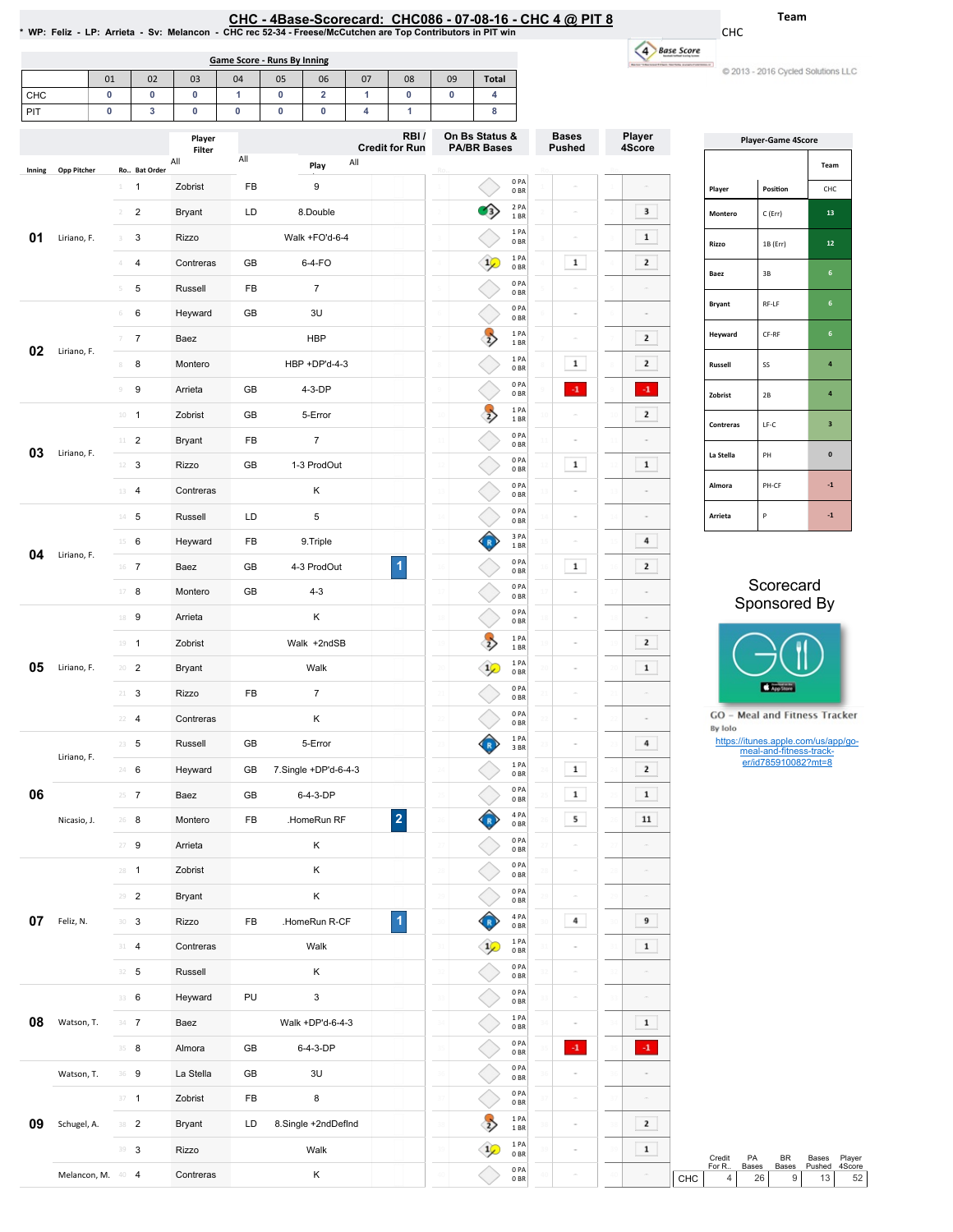| CHC - 4Base-Scorecard: CHC086 - 07-08-16 - CHC 4 @ PIT 8 |  |
|----------------------------------------------------------|--|
|                                                          |  |

\* WP: Feliz - LP: Arrieta - Sv: Melancon - 0

Inning Opp Pitcher Ro.. Bat Order

01 Liriano, F.

CHC PIT

02 Liriano, F.

03

04

05

06

 ${\bf 07}$ 

08

09

Team

| <b>Game Score - Runs By Inning</b> |  |
|------------------------------------|--|

|           |                | Arrieta - Sv: Melancon - CHC rec 52-34 - Freese/McCutchen are Top Contributors in PIT win |                                    |           |                         |     |                               |    |                                      |                          |                               |                                          | CHC           |                                                |                                     |
|-----------|----------------|-------------------------------------------------------------------------------------------|------------------------------------|-----------|-------------------------|-----|-------------------------------|----|--------------------------------------|--------------------------|-------------------------------|------------------------------------------|---------------|------------------------------------------------|-------------------------------------|
|           |                |                                                                                           | <b>Game Score - Runs By Inning</b> |           |                         |     |                               |    |                                      |                          |                               | $\langle 4 \rangle$<br><b>Base Score</b> |               |                                                |                                     |
| 01        | 02             | 03                                                                                        | 04                                 | 05        | 06                      | 07  | 08                            | 09 | <b>Total</b>                         |                          |                               |                                          |               |                                                | 2013 - 2016 Cycled Solutions LLC    |
| 0         | $\pmb{0}$      | $\pmb{0}$                                                                                 | $\mathbf{1}$                       | $\pmb{0}$ | $\overline{\mathbf{2}}$ | 1   | 0                             | 0  | 4                                    |                          |                               |                                          |               |                                                |                                     |
| $\pmb{0}$ | 3              | 0                                                                                         | $\pmb{0}$                          | $\pmb{0}$ | 0                       | 4   | 1                             |    | 8                                    |                          |                               |                                          |               |                                                |                                     |
|           |                | Player                                                                                    |                                    |           |                         |     | RBI/<br><b>Credit for Run</b> |    | On Bs Status &<br><b>PA/BR Bases</b> |                          | <b>Bases</b><br><b>Pushed</b> | Player<br>4Score                         |               | <b>Player-Game 4Score</b>                      |                                     |
|           | Ro Bat Order   | Filter<br>All                                                                             | All                                |           | Play                    | All |                               |    |                                      |                          |                               |                                          |               |                                                | Team                                |
|           | 1              | Zobrist                                                                                   | FB                                 |           | 9                       |     |                               |    |                                      | 0 PA<br>0 <sub>BR</sub>  |                               |                                          | Player        | Position                                       | CHC                                 |
| 2         | $\overline{c}$ | <b>Bryant</b>                                                                             | LD                                 |           | 8.Double                |     |                               |    |                                      | 2 PA<br>1 BR             |                               | 3                                        | Montero       | C (Err)                                        | 13                                  |
| 3         | 3              | <b>Rizzo</b>                                                                              |                                    |           | Walk +FO'd-6-4          |     |                               |    |                                      | 1 PA<br>0 <sub>BR</sub>  |                               | $\mathbf 1$                              | Rizzo         | 1B (Err)                                       | $12\,$                              |
|           | 4              | Contreras                                                                                 | GB                                 |           | 6-4-FO                  |     |                               |    | $\frac{1}{2}$                        | 1 PA<br>0 <sub>BR</sub>  | $\mathbf 1$                   | $\mathbf{2}$                             |               |                                                |                                     |
| 5         | 5              | Russell                                                                                   | FB                                 |           | $\overline{7}$          |     |                               |    |                                      | 0PA<br>0BR               |                               |                                          | Baez          | $3\,\mathrm{B}$                                | 6 <sup>1</sup>                      |
| 6         | 6              | Heyward                                                                                   | GB                                 |           | 3U                      |     |                               |    |                                      | 0PA<br>0 <sub>BR</sub>   |                               |                                          | <b>Bryant</b> | RF-LF                                          | 6                                   |
|           | $\overline{7}$ | Baez                                                                                      |                                    |           | <b>HBP</b>              |     |                               |    | $\overline{z}$                       | 1PA<br>1BR               |                               | $\mathbf{2}$                             | Heyward       | CF-RF                                          | 6 <sup>1</sup>                      |
| 8         | 8              | Montero                                                                                   |                                    |           | HBP +DP'd-4-3           |     |                               |    |                                      | 1 PA<br>0BR              | $\mathbf{1}$                  | $\mathbf{2}$                             | Russell       | SS                                             | 4                                   |
| 9         | 9              | Arrieta                                                                                   | GB                                 |           | 4-3-DP                  |     |                               |    |                                      | 0PA<br>0 <sub>BR</sub>   | $\cdot 1$                     | $\mathbf{-1}$                            | Zobrist       | 2B                                             | 4                                   |
|           | $10 - 1$       | Zobrist                                                                                   | GB                                 |           | 5-Error                 |     |                               |    | $\overline{z}$                       | 1PA<br>1 BR              |                               | $\mathbf{2}$                             | Contreras     | $LF-C$                                         | $\mathbf 3$                         |
|           | $11$ – $2$     | Bryant                                                                                    | FB                                 |           | $\overline{7}$          |     |                               |    |                                      | 0PA<br>0 <sub>BR</sub>   |                               |                                          | La Stella     | PH                                             | $\mathbf 0$                         |
|           | $12 \quad 3$   | Rizzo                                                                                     | GB                                 |           | 1-3 ProdOut             |     |                               |    |                                      | 0PA<br>0 <sub>BR</sub>   | $\mathbf 1$                   | $\mathbf{1}$                             |               |                                                |                                     |
|           | 13 4           | Contreras                                                                                 |                                    |           | κ                       |     |                               |    |                                      | 0PA<br>0 <sub>BR</sub>   |                               |                                          | Almora        | PH-CF                                          | $\cdot 1$                           |
|           | $14 - 5$       | Russell                                                                                   | LD                                 |           | 5                       |     |                               |    |                                      | 0PA<br>0BR               |                               |                                          | Arrieta       | P                                              | $\cdot 1$                           |
|           | $15 \t 6$      | Heyward                                                                                   | FB                                 |           | 9.Triple                |     |                               |    |                                      | 3 PA<br>1 BR             |                               | 4                                        |               |                                                |                                     |
|           | $16$ 7         | Baez                                                                                      | GB                                 |           | 4-3 ProdOut             |     | $\overline{1}$                |    |                                      | 0PA<br>0 <sub>BR</sub>   | $\mathbf 1$                   | $\mathbf{2}$                             |               |                                                |                                     |
| 17        | 8              | Montero                                                                                   | GB                                 |           | $4 - 3$                 |     |                               |    |                                      | 0PA<br>0 <sub>BR</sub>   |                               |                                          |               | Scorecard<br>Sponsored By                      |                                     |
|           | 18 9           | Arrieta                                                                                   |                                    |           | κ                       |     |                               |    |                                      | 0PA<br>0 <sub>BR</sub>   |                               |                                          |               |                                                |                                     |
|           | $19 - 1$       | Zobrist                                                                                   |                                    |           | Walk +2ndSB             |     |                               |    | $\frac{1}{2}$                        | 1PA<br>1 BR              |                               | $\mathbf{2}$                             |               |                                                |                                     |
|           | $20 - 2$       | Bryant                                                                                    |                                    |           | Walk                    |     |                               |    | $\langle 1 \rangle$                  | 1PA<br>0 <sub>BR</sub>   |                               | $\mathbf 1$                              |               |                                                |                                     |
| $21 -$    | 3              | Rizzo                                                                                     | FB                                 |           | $\overline{7}$          |     |                               |    |                                      | 0PA<br>0BR               |                               |                                          |               | App St                                         |                                     |
|           | $22 - 4$       | Contreras                                                                                 |                                    |           | Κ                       |     |                               |    |                                      | 0PA<br>0 <sub>BR</sub>   |                               |                                          | By Iolo       |                                                | GO - Meal and Fitness Tracker       |
|           | $23 - 5$       | Russell                                                                                   | GB                                 |           | 5-Error                 |     |                               |    |                                      | 1PA<br>3 BR              |                               | 4                                        |               | meal-and-fitness-track-<br>er/id785910082?mt=8 | https://itunes.apple.com/us/app/go- |
|           | $24 - 6$       | Heyward                                                                                   | GB                                 |           | 7.Single +DP'd-6-4-3    |     |                               |    |                                      | 1 PA<br>0B               | $\mathbf 1$                   | $\mathbf{2}$                             |               |                                                |                                     |
|           | $25 - 7$       | Baez                                                                                      | GB                                 |           | 6-4-3-DP                |     |                               |    |                                      | 0PA<br>0BR               | $\mathbf 1$                   | $\mathbf 1$                              |               |                                                |                                     |
|           | $26$ 8         | Montero                                                                                   | FB                                 |           | .HomeRun RF             |     | $\overline{\mathbf{2}}$       |    |                                      | 4 PA<br>$0\;\mathrm{BR}$ | 5                             | 11                                       |               |                                                |                                     |
|           | $27 - 9$       | Arrieta                                                                                   |                                    |           | Κ                       |     |                               |    |                                      | 0 PA<br>0BR              |                               |                                          |               |                                                |                                     |
|           | $28 - 1$       | Zobrist                                                                                   |                                    |           | Κ                       |     |                               |    |                                      | 0PA<br>0B                |                               |                                          |               |                                                |                                     |
|           | $29 - 2$       | <b>Bryant</b>                                                                             |                                    |           | Κ                       |     |                               |    |                                      | 0 PA<br>0BR              |                               | $\alpha$                                 |               |                                                |                                     |
|           | $30-3$         | Rizzo                                                                                     | FB                                 |           | .HomeRun R-CF           |     | $\overline{\mathbf{1}}$       |    |                                      | 4 PA<br>$0\;\mathrm{BR}$ | 4                             | 9                                        |               |                                                |                                     |
|           | 31 4           | Contreras                                                                                 |                                    |           | Walk                    |     |                               |    | $\frac{1}{2}$                        | 1 PA<br>0B               |                               | $\mathbf{1}$                             |               |                                                |                                     |

|               | <b>Player-Game 4Score</b> |              |
|---------------|---------------------------|--------------|
|               |                           | Team         |
| Player        | Position                  | CHC          |
| Montero       | C (Err)                   | 13           |
| Rizzo         | 1B (Err)                  | 12           |
| Baez          | 3B                        | 6            |
| <b>Bryant</b> | RF-LF                     | 6            |
| Heyward       | CF-RF                     | 6            |
| Russell       | SS                        | 4            |
| Zobrist       | 2B                        | 4            |
| Contreras     | LF-C                      | 3            |
| La Stella     | PH                        | $\mathbf{0}$ |
| Almora        | PH-CF                     | $-1$         |
| Arrieta       | P                         | $-1$         |

|                   | $11$ 2           | <b>Bryant</b> | FB | $\overline{7}$            |                         |                          | 0PA<br>0 <sub>BR</sub>  |             |                |                                |       |                                                                |                        |    |
|-------------------|------------------|---------------|----|---------------------------|-------------------------|--------------------------|-------------------------|-------------|----------------|--------------------------------|-------|----------------------------------------------------------------|------------------------|----|
| Liriano, F.       | $12 \t3$         | Rizzo         | GB | 1-3 ProdOut               |                         |                          | 0PA<br>0 <sub>BR</sub>  | $\mathbf 1$ | $\mathbf 1$    | La Stella                      |       | PH                                                             | $\pmb{0}$              |    |
|                   | 13 4             | Contreras     |    | К                         |                         |                          | 0PA<br>0 <sub>BR</sub>  |             |                | Almora                         |       | PH-CF                                                          | $^{\rm -1}$            |    |
|                   | $14$ – ${\bf 5}$ | Russell       | LD | $\,$ 5 $\,$               |                         |                          | 0PA<br>0 <sub>BR</sub>  |             |                | Arrieta                        |       | P                                                              | $^{\circ}1$            |    |
|                   | $15 \t 6$        | Heyward       | FB | 9.Triple                  |                         | $\overline{\mathbf{B}}$  | 3PA<br>1BR              |             | 4              |                                |       |                                                                |                        |    |
| Liriano, F.       | $16$ 7           | Baez          | GB | 4-3 ProdOut               | $\blacktriangleleft$    |                          | 0PA<br>0 <sub>BR</sub>  | $\mathbf 1$ | $\mathbf{2}$   |                                |       |                                                                |                        |    |
|                   |                  | Montero       | GB | $4 - 3$                   |                         |                          | 0PA<br>0 <sub>BR</sub>  |             |                |                                |       | Scorecard<br>Sponsored By                                      |                        |    |
|                   | 18 9             | Arrieta       |    | Κ                         |                         |                          | 0PA<br>0 <sub>BR</sub>  |             |                |                                |       |                                                                |                        |    |
|                   | $19 - 1$         | Zobrist       |    | Walk +2ndSB               |                         | $\rightarrow$            | 1PA<br>1 BR             |             | $\mathbf{2}$   |                                |       |                                                                |                        |    |
| Liriano, F.       | $20 - 2$         | Bryant        |    | Walk                      |                         | $\mathcal{P}$            | 1PA<br>0 <sub>BR</sub>  | i.          | $\mathbf 1$    |                                |       |                                                                |                        |    |
|                   | $21 - 3$         | Rizzo         | FB | $\boldsymbol{7}$          |                         |                          | 0PA<br>0 <sub>BR</sub>  |             |                |                                |       | App St                                                         |                        |    |
|                   | $22 - 4$         | Contreras     |    | Κ                         |                         |                          | 0PA<br>0 <sub>BR</sub>  |             |                | By Iolo                        |       | GO - Meal and Fitness Tracker                                  |                        |    |
| Liriano, F.       | $23 \t 5$        | Russell       | GB | 5-Error                   |                         | R                        | 1 PA<br>3BR             |             | 4              |                                |       | https://itunes.apple.com/us/app/go-<br>meal-and-fitness-track- |                        |    |
|                   | 24 6             | Heyward       | GB | 7.Single +DP'd-6-4-3      |                         |                          | 1PA<br>0 <sub>BR</sub>  | $\mathbf 1$ | $\mathbf{2}$   |                                |       | er/id785910082?mt=8                                            |                        |    |
|                   | $25 \t 7$        | Baez          | GB | 6-4-3-DP                  |                         |                          | 0PA<br>0 <sub>BR</sub>  | $\mathbf 1$ | $\mathbf 1$    |                                |       |                                                                |                        |    |
| Nicasio, J.       | 26 8             | Montero       | FB | .HomeRun RF               | $\overline{2}$          | $\overline{\mathbf{B}}$  | 4 PA<br>0 <sub>BR</sub> | 5           | 11             |                                |       |                                                                |                        |    |
|                   | $27 - 9$         | Arrieta       |    | $\sf K$                   |                         |                          | 0PA<br>0 <sub>BR</sub>  |             | ä,             |                                |       |                                                                |                        |    |
|                   | $28 - 1$         | Zobrist       |    | К                         |                         |                          | 0PA<br>0 <sub>BR</sub>  |             | $\overline{a}$ |                                |       |                                                                |                        |    |
|                   | $29 - 2$         | <b>Bryant</b> |    | $\sf K$                   |                         |                          | 0PA<br>0 <sub>BR</sub>  |             |                |                                |       |                                                                |                        |    |
| Feliz, N.         | 30 <sup>3</sup>  | Rizzo         | FB | .HomeRun R-CF             | $\overline{\mathbf{1}}$ | $\overline{\mathbf{R}}$  | 4 PA<br>0 <sub>BR</sub> | 4           | 9              |                                |       |                                                                |                        |    |
|                   | $31 - 4$         | Contreras     |    | Walk                      |                         | $\mathcal{P}$            | 1PA<br>0 <sub>BR</sub>  |             | $\mathbf 1$    |                                |       |                                                                |                        |    |
|                   | $32 - 5$         | Russell       |    | $\sf K$                   |                         |                          | 0PA<br>0 <sub>BR</sub>  |             |                |                                |       |                                                                |                        |    |
|                   | 33 6             | Heyward       | PU | $\ensuremath{\mathsf{3}}$ |                         |                          | 0PA<br>0 <sub>BR</sub>  |             |                |                                |       |                                                                |                        |    |
| Watson, T.        | $34 - 7$         | Baez          |    | Walk +DP'd-6-4-3          |                         |                          | 1PA<br>0 <sub>BR</sub>  |             | $\mathbf 1$    |                                |       |                                                                |                        |    |
|                   | 35 8             | Almora        | GB | 6-4-3-DP                  |                         |                          | 0PA<br>0 <sub>BR</sub>  | $\cdot 1$   | $\cdot 1$      |                                |       |                                                                |                        |    |
| Watson, T.        | 36 9             | La Stella     | GB | 3U                        |                         |                          | 0PA<br>0 <sub>BR</sub>  |             | $\overline{a}$ |                                |       |                                                                |                        |    |
|                   | $37 - 1$         | Zobrist       | FB | 8                         |                         |                          | 0PA<br>0 <sub>BR</sub>  |             |                |                                |       |                                                                |                        |    |
| Schugel, A.       | 38 2             | Bryant        | LD | 8.Single +2ndDefInd       |                         | $\rightarrow$            | 1PA<br>1 BR             |             | $\mathbf{2}$   |                                |       |                                                                |                        |    |
|                   | 39 3             | Rizzo         |    | Walk                      |                         | $\overline{\mathcal{V}}$ | 1PA<br>0 <sub>BR</sub>  |             | $\mathbf 1$    | Credit                         | PA    | BR                                                             | Bases<br>Player        |    |
| Melancon, M. 40 4 |                  | Contreras     |    | $\sf K$                   |                         |                          | 0PA<br>0 <sub>BR</sub>  |             |                | For R<br>CHC<br>$\overline{4}$ | Bases | Bases<br>26<br>$\boldsymbol{9}$                                | Pushed<br>4Score<br>13 | 52 |
|                   |                  |               |    |                           |                         |                          |                         |             |                |                                |       |                                                                |                        |    |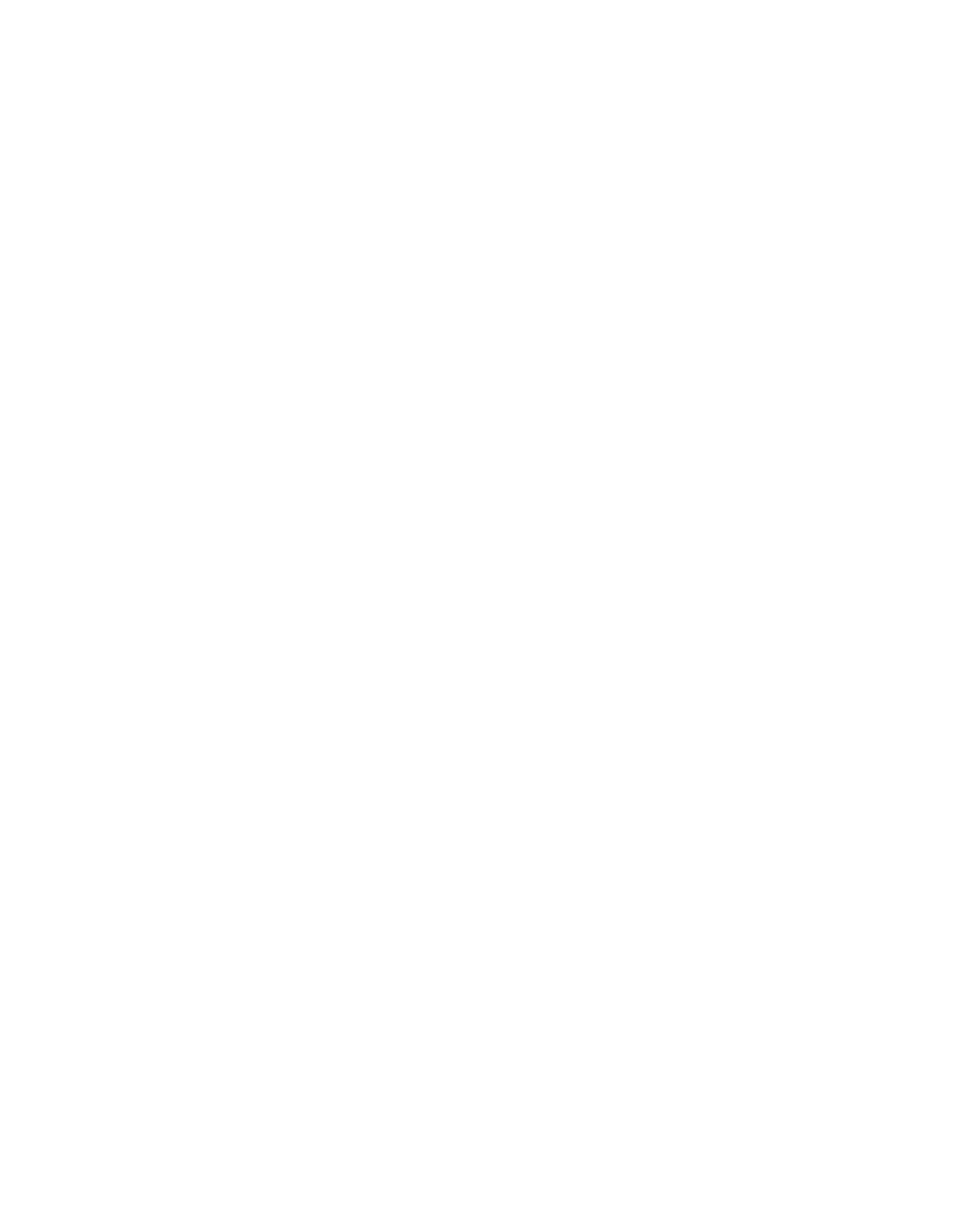| $: 3$ ) HOD, $/3$ \$ UUHMD 6Y 0 HODGFRQ & +& U+F |                   |                                 | $8 + 8$      | %DVH6FRUHFDLG &+&                       |                | ) UHAMH 0 F&XWFKHQDUH 7RS & ROMMLEXWRUV LQ 3,7 Z LQ | $8+8$ # 3,7 |       |                     | d u                                 |                          |
|--------------------------------------------------|-------------------|---------------------------------|--------------|-----------------------------------------|----------------|-----------------------------------------------------|-------------|-------|---------------------|-------------------------------------|--------------------------|
|                                                  |                   |                                 |              | $\frac{1}{2}$ u ^ } OEr Zuv• C/vv]vP    |                |                                                     |             |       |                     |                                     |                          |
|                                                  | ìî<br>ìí          | ìï                              | ìð           | ìñ<br>ìò                                | ìó<br>ìô       | ìõ<br>d}šo                                          |             |       |                     |                                     |                          |
| $8 + 8$<br>3,7                                   |                   |                                 |              |                                         |                |                                                     |             |       |                     |                                     |                          |
|                                                  |                   | Wb Ç Œ                          |              |                                         | $5\%$          | 2 Q%V 6 VDWXV                                       | %DVHV       | 30 NU |                     | WoÇOE u ð^}Œ                        |                          |
|                                                  |                   | 8]oš OE<br>$\pmb{\circledcirc}$ | $^\circledR$ | $\pmb{\circledcirc}$<br>WoÇ             | & UHGLWIRU5 XQ | 3\$ %5 %DVHV                                        | 3 XVKHG     | 6FRUH |                     |                                     | d u                      |
| /vv]vP K‰W)\$ZOE                                 | Z}XX ŠKOE C<br>í. | $=$ REUMV                       | ) %          |                                         |                | i W<br>i Z                                          |             |       | Wo Ç Œ              | VV∙JŸ} v                            |                          |
|                                                  | $\hat{\perp}$     | <b>%UDOW</b>                    | $\prime$ .   | ' RXE®                                  |                | î W                                                 |             |       | D} vš OE            | $\sim$ OHE                          | $^\circ$<br>$\mathbf{1}$ |
| >JOEv}U&X                                        | $\top$            | 54]R                            |              | $:$ DON $)$ 2 G                         |                | í Z<br>í W                                          |             |       |                     |                                     |                          |
|                                                  | ð                 | & ROWHUDV                       | $*$ %        | 2                                       |                | i Z<br>í W                                          |             |       | zjì ì }             | $i \sim 00E$                        | íî                       |
|                                                  | ñ                 | 5 XVMO                          | ) %          |                                         |                | i Z<br>i W                                          |             |       | - ì                 | ï.                                  | ò                        |
|                                                  | ò                 | $+HZDUS$                        | * %          | 8                                       |                | i Z<br>i W                                          |             |       | 0ÇV Š               | Z8r > 8                             | ò                        |
|                                                  | ó                 | %DHJ                            |              | $+ \%3$                                 |                | i Z<br>í W                                          |             |       | , ÇÁ Œ              | 8rZ&                                | ò                        |
| >JOEv}U&X                                        | ô                 | 0 RQMUR                         |              | $+$ %3 $'3G$                            |                | $i$ $z$<br>i W                                      |             |       | Zµ•• oo             | $\sim$                              | ð                        |
|                                                  | $\tilde{\odot}$   | \$WLHMD                         | $*$ %        | '3                                      |                | i Z<br>i W                                          |             |       |                     |                                     |                          |
|                                                  | f)                | $=$ REUMV                       | $*$ %        | $($ WRU                                 |                | i Z<br>í W                                          |             |       | •} OEš              | î.                                  | ð                        |
|                                                  | íí.               | <b>%UDOW</b>                    | ) %          |                                         |                | $i$ $z$<br>i W                                      |             |       | } všOEOE            | $\mathbin{{\geq}8}$                 | $\ddot{\text{L}}$        |
| >JOEv}U&X                                        | íî                | 54]R                            | $*$ %        | 3 URG2 XW                               |                | i Z<br>i W                                          |             |       | > ^š @              | W                                   | ì.                       |
|                                                  | íï                | & ROWHUDV                       |              | $\bullet$                               |                | i Z<br>i W                                          |             |       | $\omega \rangle$ OE | Wr &                                | rí                       |
|                                                  | íð                | 5 XVMO                          | $\prime$ .   |                                         |                | i Z<br>i W                                          |             |       | OŒEš                | W                                   | rí                       |
|                                                  | íñ                | $+HZDIB$                        | ) %          | <b>7 ULSOH</b>                          |                | i Z<br>ï W                                          |             |       |                     |                                     |                          |
| >JOEv}U&X                                        | íò                | %DHJ                            | $*$ %        | 3 URG2 XW                               |                | $i$ $z$<br>i W                                      |             |       |                     |                                     |                          |
|                                                  | íó                | 0 ROMUR                         | $*$ %        |                                         |                | i Z<br>i W                                          |             |       |                     | 6 FRUHFDUG                          |                          |
|                                                  | íô                | \$ ULLHAD                       |              | $\sim$                                  |                | i Z<br>i W                                          |             |       |                     | 6 SRQ/RUHG%                         |                          |
|                                                  | íõ                | $=$ REUMV                       |              | : DON: QG6%                             |                | $i$ Z<br>í W                                        |             |       |                     |                                     |                          |
| >JOEv}U&X                                        | - î î             | <b>%UDQW</b>                    |              | $\therefore$ DON                        |                | $i$ $z$<br>í W                                      |             |       |                     |                                     |                          |
|                                                  | îí                | 5 L ] R                         | ) %          |                                         |                | i Z<br>i W                                          |             |       |                     |                                     |                          |
|                                                  | îî                | & ROWHUDV                       |              | $\sim$                                  |                | i Z<br>i W                                          |             |       |                     |                                     |                          |
|                                                  | îΪ                | 5 XVMO                          | $*$ %        | $($ URU                                 |                | $i$ Z<br>í W<br>ïZ                                  |             |       |                     | KWOSV LWACHN DSSOH FRP XV DSS JR    |                          |
| >JOEv}U&X                                        | îŏ                | $+HZDIB$                        | $*$ %        | 6LQJOH '3G                              |                | í W                                                 |             |       |                     | PHDCDCG ILLOHAV WORN<br><b>HUIG</b> | "PW                      |
|                                                  | îñ                | %DHJ                            | $*$ %        | $\cdot$ 3                               |                | i Z<br>i W                                          |             |       |                     |                                     |                          |
| $E$ ] •]} UX                                     | îò                | 0 RQMUR                         | ) %          | $+RP$ H <sub>5</sub> $XQ5$ )            |                | i Z<br>ðW                                           |             |       |                     |                                     |                          |
|                                                  | îó                | \$ WILHO                        |              | $\sim$                                  |                | i Z<br>i W                                          |             |       |                     |                                     |                          |
|                                                  | îô                | $=$ REUMV                       |              | $\sim$                                  |                | i Z<br>i W<br>$i$ Z                                 |             |       |                     |                                     |                          |
|                                                  | ÎÕ                | <b>%UDOW</b>                    |              | $\sim 100$ km s $^{-1}$                 |                | i W<br>$i$ Z                                        |             |       |                     |                                     |                          |
| & oji UEX                                        | $\top$            | 5 L ] R                         | ) %          | $+RP$ H <sub>5</sub> XQ <sub>5</sub> &) |                | ðW<br>i Z                                           |             |       |                     |                                     |                          |
|                                                  | ΪĹ                | & ROWHUDV                       |              | $\therefore$ DON                        |                | í W<br>i Z                                          |             |       |                     |                                     |                          |
|                                                  | ΪÎ                | 5 XVVHO                         |              | $\sim$                                  |                | i W<br>i Z                                          |             |       |                     |                                     |                          |
|                                                  | $\mathbf{H}$      | $+HZDIG$                        | 38           |                                         |                | i W<br>i Z                                          |             |       |                     |                                     |                          |
| t š∙}vUdX                                        | ïð                | %DHJ                            |              | $:$ DON $'$ 3 G                         |                | í W<br>i Z                                          |             |       |                     |                                     |                          |
|                                                  | ïñ                | \$ @ RUD                        | $*$ %        | $\overline{\phantom{a}}$ 3              |                | i W                                                 |             |       |                     |                                     |                          |
| t <b>š∙}vUdX</b> ⊺ò                              |                   | /D6WKOD                         | $*$ %        | 8                                       |                | i Z<br>i W<br>$i$ Z                                 |             |       |                     |                                     |                          |
|                                                  | ïó                | $=$ REUMV                       | ) %          |                                         |                | i W<br>i Z                                          |             |       |                     |                                     |                          |
| ^ZµPoUX ⊺ô                                       |                   | <b>%UDQW</b>                    | $\prime$ .   | $61QJ$ $@$ $QG$ $H,QG$                  |                | í W                                                 |             |       |                     |                                     |                          |
|                                                  | ïõ                | 5 L ] R                         |              | $\therefore$ DON                        |                | í Z<br>í W<br>i Z                                   |             |       |                     |                                     |                          |
|                                                  |                   |                                 |              |                                         |                |                                                     |             |       | &UHGLW<br>3\$       |                                     |                          |

 $d$  u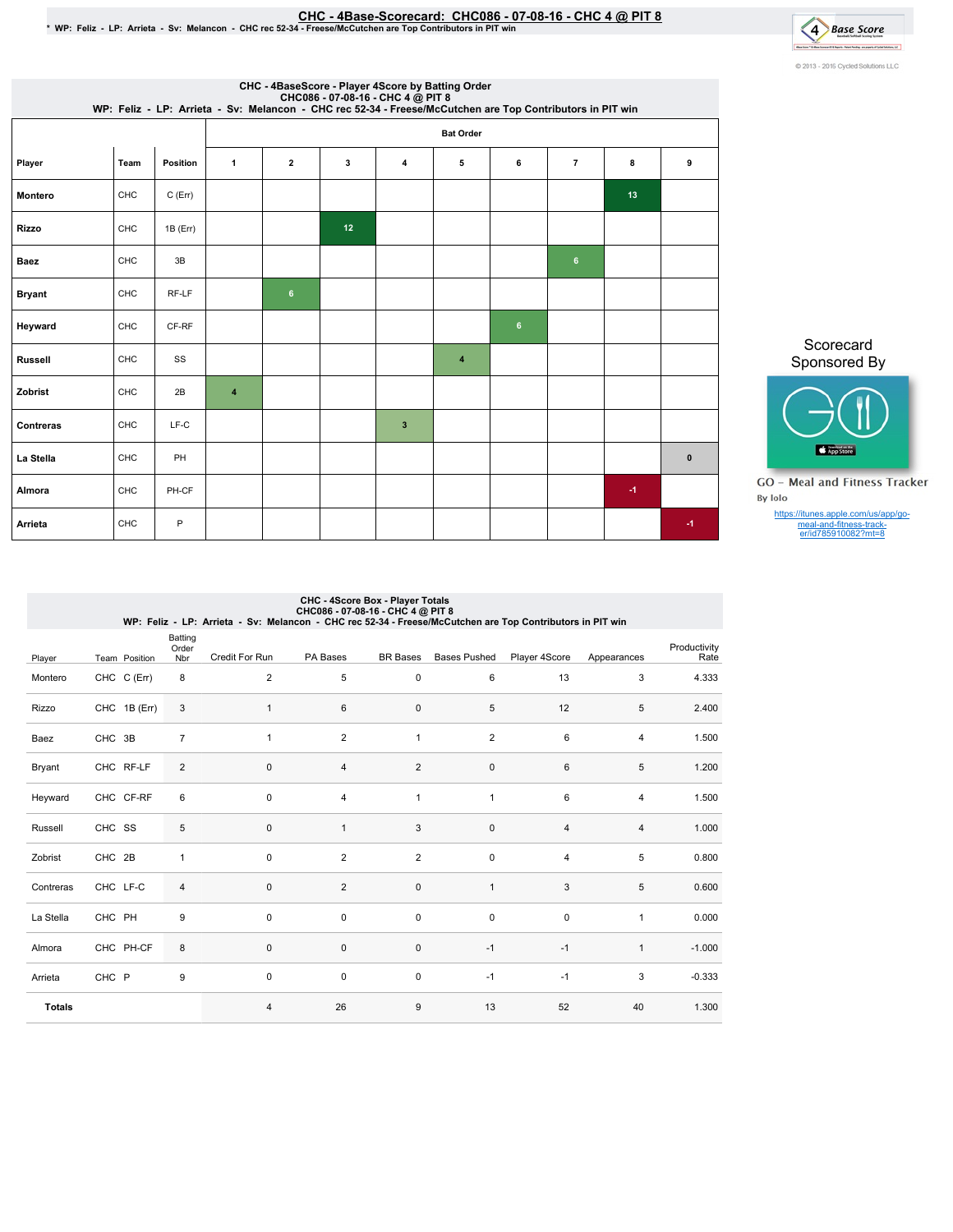## CHC-4Base-Scorecard:CHC086-07-08-16-CHC4@ PIT8 \*WP:Feliz-LP:Arrieta-Sv:Melancon-CHCrec52-34-Freese/McCutchenareTopContributorsinPITwin

4 Base Score .<br>Next fastedly expansional at ... C 2013 - 2016 Cycled Solutions LLC

|                |      |                 |                         |                         |    | CHC - 4BaseScore - Player 4Score by Batting Order<br>CHC086 - 07-08-16 - CHC 4 @ PIT 8<br>WP: Feliz - LP: Arrieta - Sv: Melancon - CHC rec 52-34 - Freese/McCutchen are Top Contributors in PIT win |                         |                |                |      |              |
|----------------|------|-----------------|-------------------------|-------------------------|----|-----------------------------------------------------------------------------------------------------------------------------------------------------------------------------------------------------|-------------------------|----------------|----------------|------|--------------|
|                |      |                 |                         |                         |    |                                                                                                                                                                                                     | <b>Bat Order</b>        |                |                |      |              |
| Player         | Team | <b>Position</b> | $\mathbf{1}$            | $\overline{\mathbf{2}}$ | 3  | 4                                                                                                                                                                                                   | 5                       | 6              | $\overline{7}$ | 8    | 9            |
| Montero        | CHC  | $C$ (Err)       |                         |                         |    |                                                                                                                                                                                                     |                         |                |                | 13   |              |
| <b>Rizzo</b>   | CHC  | 1B (Err)        |                         |                         | 12 |                                                                                                                                                                                                     |                         |                |                |      |              |
| Baez           | CHC  | 3B              |                         |                         |    |                                                                                                                                                                                                     |                         |                | 6 <sup>1</sup> |      |              |
| <b>Bryant</b>  | CHC  | RF-LF           |                         | $6\phantom{1}$          |    |                                                                                                                                                                                                     |                         |                |                |      |              |
| Heyward        | CHC  | CF-RF           |                         |                         |    |                                                                                                                                                                                                     |                         | $6\phantom{a}$ |                |      |              |
| <b>Russell</b> | CHC  | SS              |                         |                         |    |                                                                                                                                                                                                     | $\overline{\mathbf{4}}$ |                |                |      |              |
| Zobrist        | CHC  | 2B              | $\overline{\mathbf{4}}$ |                         |    |                                                                                                                                                                                                     |                         |                |                |      |              |
| Contreras      | CHC  | LF-C            |                         |                         |    | $\mathbf{3}$                                                                                                                                                                                        |                         |                |                |      |              |
| La Stella      | CHC  | PH              |                         |                         |    |                                                                                                                                                                                                     |                         |                |                |      | $\mathbf{0}$ |
| Almora         | CHC  | PH-CF           |                         |                         |    |                                                                                                                                                                                                     |                         |                |                | $-1$ |              |
| Arrieta        | CHC  | P               |                         |                         |    |                                                                                                                                                                                                     |                         |                |                |      | $-1$         |



Scorecard

|         | CHC - 4Score Box - Player Totals                                                                          |
|---------|-----------------------------------------------------------------------------------------------------------|
|         | CHC086 - 07-08-16 - CHC 4 @ PIT 8                                                                         |
|         | WP: Feliz - LP: Arrieta - Sv: Melancon - CHC rec 52-34 - Freese/McCutchen are Top Contributors in PIT win |
| Rotting |                                                                                                           |

| Player        | Team Position | Batting<br>Order<br>Nbr | Credit For Run | PA Bases       | <b>BR</b> Bases | <b>Bases Pushed</b> | Player 4Score  | Appearances             | Productivity<br>Rate |
|---------------|---------------|-------------------------|----------------|----------------|-----------------|---------------------|----------------|-------------------------|----------------------|
| Montero       | CHC C (Err)   | 8                       | $\overline{2}$ | 5              | $\mathsf 0$     | 6                   | 13             | 3                       | 4.333                |
| Rizzo         | CHC 1B (Err)  | $\mathbf{3}$            | $\mathbf{1}$   | 6              | $\mathsf 0$     | 5                   | 12             | 5                       | 2.400                |
| Baez          | CHC 3B        | $\overline{7}$          | $\mathbf{1}$   | $\overline{2}$ | $\mathbf{1}$    | $\overline{c}$      | 6              | $\overline{4}$          | 1.500                |
| Bryant        | CHC RF-LF     | $\overline{2}$          | 0              | 4              | $\overline{c}$  | $\pmb{0}$           | $\,6\,$        | 5                       | 1.200                |
| Heyward       | CHC CF-RF     | 6                       | 0              | 4              | $\mathbf{1}$    | $\mathbf{1}$        | 6              | $\overline{4}$          | 1.500                |
| Russell       | CHC SS        | $\,$ 5 $\,$             | 0              | $\mathbf{1}$   | 3               | $\mathsf{O}\xspace$ | $\sqrt{4}$     | $\overline{\mathbf{4}}$ | 1.000                |
| Zobrist       | CHC 2B        | $\mathbf{1}$            | $\mathbf 0$    | 2              | $\overline{2}$  | $\pmb{0}$           | $\overline{4}$ | 5                       | 0.800                |
| Contreras     | CHC LF-C      | $\overline{4}$          | 0              | 2              | $\pmb{0}$       | $\mathbf{1}$        | $\mathbf{3}$   | 5                       | 0.600                |
| La Stella     | CHC PH        | 9                       | $\mathbf 0$    | $\mathbf 0$    | 0               | $\pmb{0}$           | $\pmb{0}$      | $\mathbf{1}$            | 0.000                |
| Almora        | CHC PH-CF     | 8                       | 0              | $\pmb{0}$      | $\pmb{0}$       | $-1$                | $-1$           | $\mathbf{1}$            | $-1.000$             |
| Arrieta       | CHC P         | $\boldsymbol{9}$        | 0              | $\pmb{0}$      | $\pmb{0}$       | $-1$                | $-1$           | 3                       | $-0.333$             |
| <b>Totals</b> |               |                         | 4              | 26             | 9               | 13                  | 52             | 40                      | 1.300                |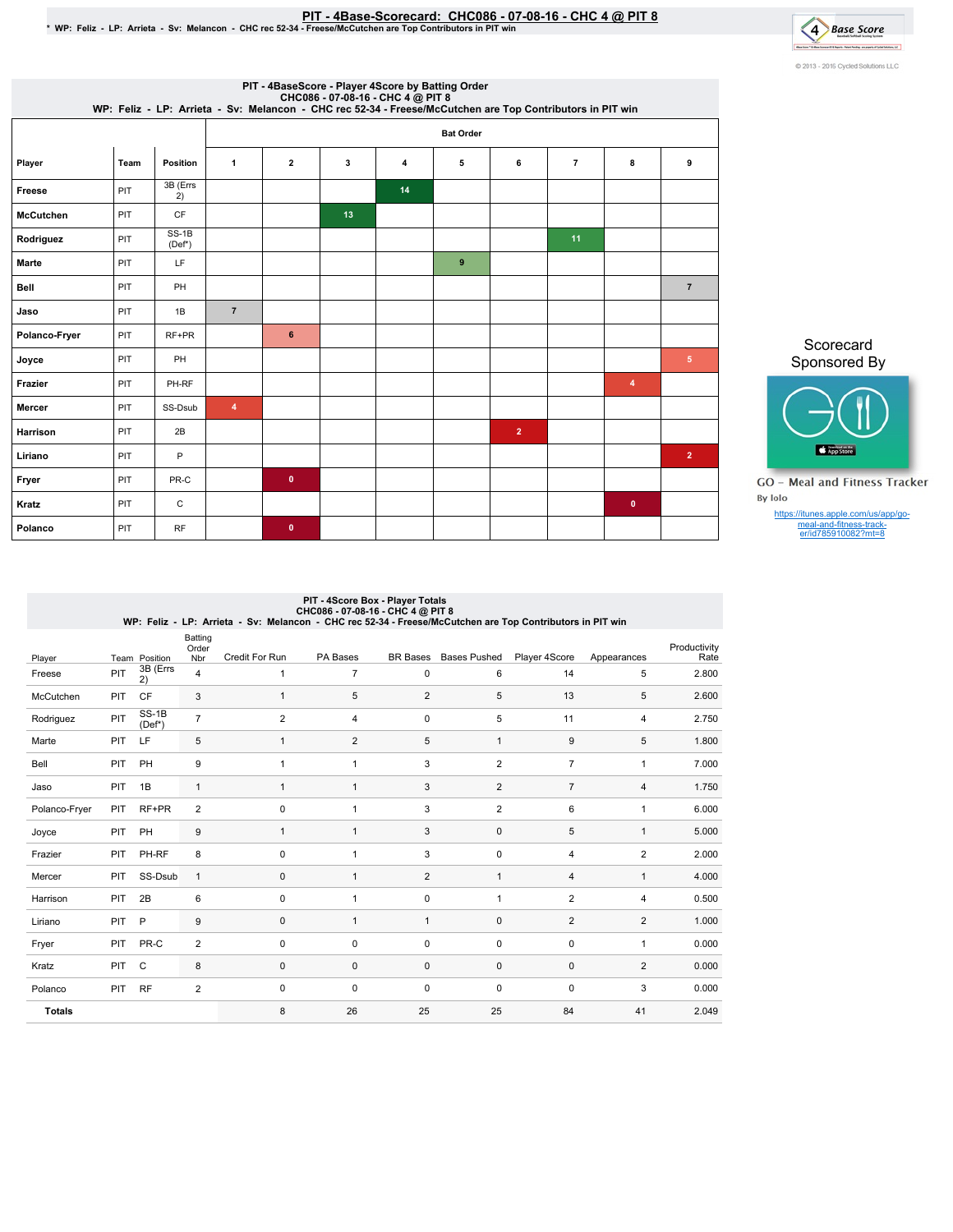PIT - 4Base-Scorecard: CHC086 - 07-08-16 - CHC 4 @ PIT 8 - WP: Feliz - LP: Arrieta - Sv: Melancon - CHC rec 52-34 - Freese/McCutchen are Top Contributors in PIT win



|                  |      |                        |                |                         |    |    | PIT - 4BaseScore - Player 4Score by Batting Order<br>CHC086 - 07-08-16 - CHC 4 @ PIT 8<br>WP: Feliz - LP: Arrieta - Sv: Melancon - CHC rec 52-34 - Freese/McCutchen are Top Contributors in PIT win |                |                |                |                |
|------------------|------|------------------------|----------------|-------------------------|----|----|-----------------------------------------------------------------------------------------------------------------------------------------------------------------------------------------------------|----------------|----------------|----------------|----------------|
|                  |      |                        |                |                         |    |    | <b>Bat Order</b>                                                                                                                                                                                    |                |                |                |                |
| Player           | Team | Position               | $\mathbf{1}$   | $\overline{\mathbf{2}}$ | 3  | 4  | 5                                                                                                                                                                                                   | 6              | $\overline{7}$ | 8              | 9              |
| Freese           | PIT  | 3B (Errs<br>$\ddot{2}$ |                |                         |    | 14 |                                                                                                                                                                                                     |                |                |                |                |
| <b>McCutchen</b> | PIT  | <b>CF</b>              |                |                         | 13 |    |                                                                                                                                                                                                     |                |                |                |                |
| Rodriguez        | PIT  | SS-1B<br>$(Def*)$      |                |                         |    |    |                                                                                                                                                                                                     |                | 11             |                |                |
| Marte            | PIT  | LF                     |                |                         |    |    | 9                                                                                                                                                                                                   |                |                |                |                |
| Bell             | PIT  | <b>PH</b>              |                |                         |    |    |                                                                                                                                                                                                     |                |                |                | $\overline{7}$ |
| Jaso             | PIT  | 1B                     | $\overline{7}$ |                         |    |    |                                                                                                                                                                                                     |                |                |                |                |
| Polanco-Fryer    | PIT  | RF+PR                  |                | 6                       |    |    |                                                                                                                                                                                                     |                |                |                |                |
| Joyce            | PIT  | PH                     |                |                         |    |    |                                                                                                                                                                                                     |                |                |                | 5 <sup>5</sup> |
| Frazier          | PIT  | PH-RF                  |                |                         |    |    |                                                                                                                                                                                                     |                |                | $\overline{4}$ |                |
| Mercer           | PIT  | SS-Dsub                | $\overline{4}$ |                         |    |    |                                                                                                                                                                                                     |                |                |                |                |
| Harrison         | PIT  | 2B                     |                |                         |    |    |                                                                                                                                                                                                     | $\overline{2}$ |                |                |                |
| Liriano          | PIT  | P                      |                |                         |    |    |                                                                                                                                                                                                     |                |                |                | 2 <sup>1</sup> |
| Fryer            | PIT  | PR-C                   |                | $\mathbf{0}$            |    |    |                                                                                                                                                                                                     |                |                |                |                |
| Kratz            | PIT  | C                      |                |                         |    |    |                                                                                                                                                                                                     |                |                | $\bullet$      |                |
| Polanco          | PIT  | RF                     |                | $\mathbf{0}$            |    |    |                                                                                                                                                                                                     |                |                |                |                |

Scorecard Sponsored By



**GO** - Meal and Fitness Tracker By Iolo

https://itunes.apple.com/us/app/go-meal-and-fitness-track-er/id785910082?mt=8

# PIT - 4Score Box - Player Totals<br>CHC086 - 07-08-16 CHC08 - CHC 4 @ PIT 8<br>WP: Feliz - LP: Arrieta - Sv: Melancon - CHC rec 52-34 - Freese/McCutchen are Top Contributors in PIT win

|               |     |                     | Batting<br>Order |                |                |                 |                     |                |                | Productivity |
|---------------|-----|---------------------|------------------|----------------|----------------|-----------------|---------------------|----------------|----------------|--------------|
| Player        |     | Team Position       | Nbr              | Credit For Run | PA Bases       | <b>BR</b> Bases | <b>Bases Pushed</b> | Player 4Score  | Appearances    | Rate         |
| Freese        | PIT | 3B (Errs<br>2)      | 4                | 1              | $\overline{7}$ | $\mathbf 0$     | 6                   | 14             | 5              | 2.800        |
| McCutchen     | PIT | <b>CF</b>           | 3                | 1              | 5              | $\overline{2}$  | 5                   | 13             | 5              | 2.600        |
| Rodriguez     | PIT | $SS-1B$<br>$(Def*)$ | $\overline{7}$   | 2              | $\overline{4}$ | $\mathbf 0$     | 5                   | 11             | $\overline{4}$ | 2.750        |
| Marte         | PIT | LF                  | 5                | 1              | $\overline{2}$ | 5               | $\mathbf{1}$        | 9              | 5              | 1.800        |
| Bell          | PIT | PH                  | 9                | $\mathbf{1}$   | $\mathbf{1}$   | 3               | $\overline{2}$      | $\overline{7}$ | $\mathbf{1}$   | 7.000        |
| Jaso          | PIT | 1B                  | $\mathbf{1}$     | $\mathbf{1}$   | $\mathbf{1}$   | 3               | $\overline{2}$      | $\overline{7}$ | $\overline{4}$ | 1.750        |
| Polanco-Fryer | PIT | RF+PR               | $\overline{2}$   | $\mathbf 0$    | $\mathbf{1}$   | 3               | $\overline{2}$      | 6              | $\mathbf{1}$   | 6.000        |
| Joyce         | PIT | PH                  | 9                | $\mathbf{1}$   | $\mathbf{1}$   | 3               | $\pmb{0}$           | 5              | $\mathbf{1}$   | 5.000        |
| Frazier       | PIT | PH-RF               | 8                | $\mathbf 0$    | $\mathbf{1}$   | 3               | $\pmb{0}$           | 4              | $\overline{2}$ | 2.000        |
| Mercer        | PIT | SS-Dsub             | $\mathbf{1}$     | $\mathbf 0$    | $\mathbf{1}$   | $\overline{2}$  | $\mathbf{1}$        | $\overline{4}$ | $\mathbf{1}$   | 4.000        |
| Harrison      | PIT | 2B                  | 6                | 0              | 1              | $\mathbf 0$     | $\mathbf{1}$        | $\overline{2}$ | $\overline{4}$ | 0.500        |
| Liriano       | PIT | P                   | 9                | $\mathbf 0$    | $\mathbf{1}$   | $\mathbf{1}$    | 0                   | $\overline{2}$ | $\overline{2}$ | 1.000        |
| Fryer         | PIT | PR-C                | $\overline{2}$   | 0              | $\mathbf 0$    | $\mathbf 0$     | $\pmb{0}$           | 0              | $\mathbf{1}$   | 0.000        |
| Kratz         | PIT | $\mathsf{C}$        | 8                | $\mathbf 0$    | $\mathbf 0$    | 0               | 0                   | 0              | $\overline{2}$ | 0.000        |
| Polanco       | PIT | <b>RF</b>           | $\overline{2}$   | 0              | $\mathbf 0$    | $\mathbf 0$     | 0                   | 0              | 3              | 0.000        |
| <b>Totals</b> |     |                     |                  | 8              | 26             | 25              | 25                  | 84             | 41             | 2.049        |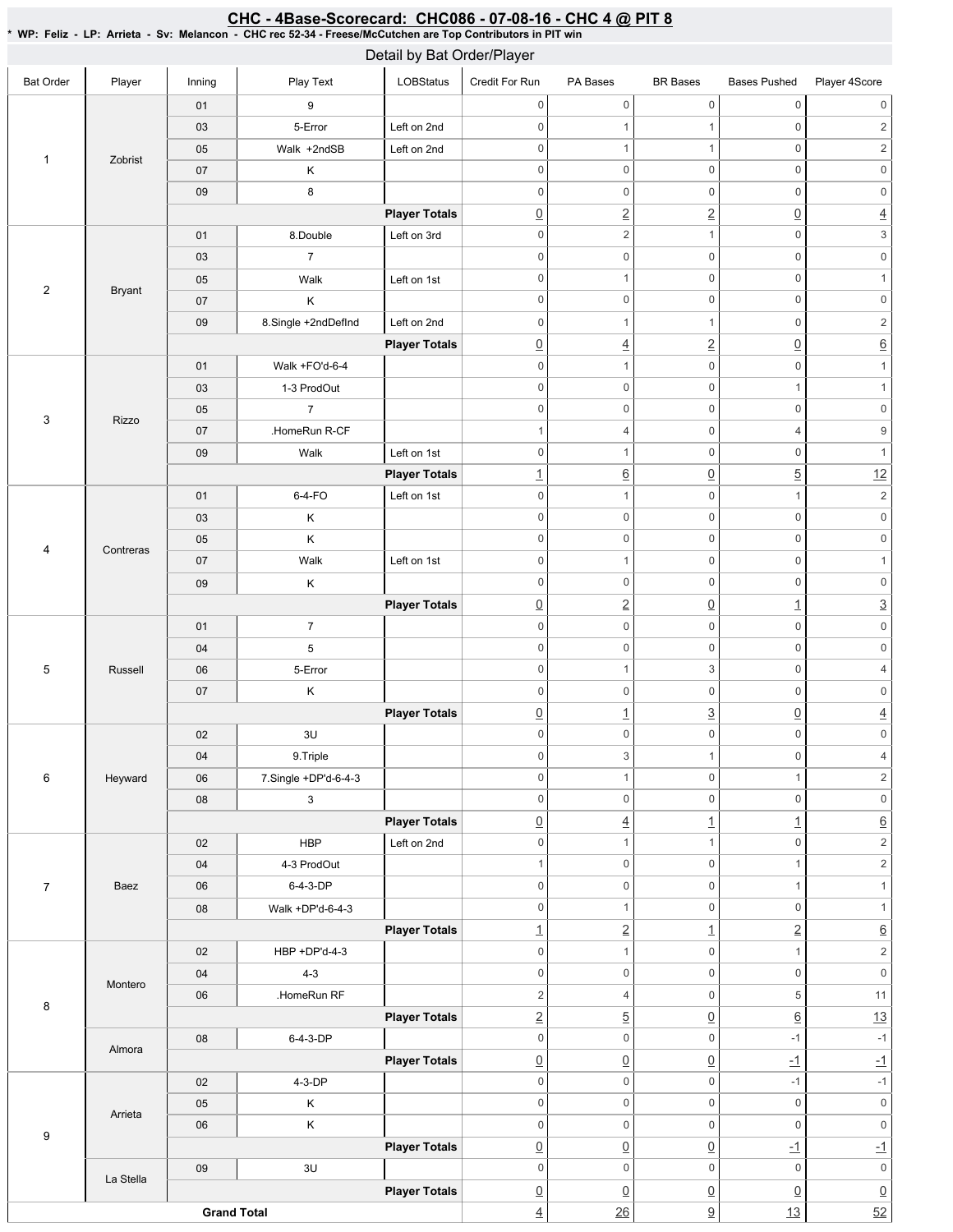### Bat Order | Player | Inning | PlayText | LOBStatus Credit For Run PA Bases BR Bases Bases Pushed Player 4Score 1 Zobrist 01 9 03 5-Error Left on 2nd 05 Walk +2ndSB Left on 2nd 07 K 09 8 **Player Totals** 2 Bryant 01 | 8.Double | Left on 3rd 03 7 05 | Walk Left on 1st 07 K 09 8.Single +2ndDefInd Left on 2nd **Player Totals** 3 Rizzo 01 Walk+FO'd-6-4 03 | 1-3 ProdOut 05 7 07 .HomeRun R-CF 09 | Walk Left on 1st **Player Totals** 4 Contreras 01 6-4-FO Left on 1st 03 K 05 K 07 | Walk Left on 1st 09 K **Player Totals** 5 Russell 01 7 04 5 06 | 5-Error 07 K **Player Totals** 6 Heyward 02 3U 04 | 9.Triple 06 7.Single +DP'd-6-4-3 08 3 **Player Totals** 7 Baez 02 HBP Left on 2nd 04 4-3ProdOut 06 **6-4-3-DP** 08 Walk +DP'd-6-4-3 **Player Totals** 8 Montero 02 HBP +DP'd-4-3 04 4-3 06 **.HomeRun RF Player Totals** Almora 08 6-4-3-DP **Player Totals** 9 Arrieta 02 | 4-3-DP 05 K 06 K **Player Totals** La Stella 09 3U **Player Totals Grand Total** 0 0 0 0 0 0 0 1 1 0 2 0 1 1 0 2 0 0 0 0 0 0 0 0 0 0 0 0 0 2 2 0 4 0 2 1 0 3 0 0 0 0 0 0 0 0 1 0 1 0 0 0 0 0 0 0 1 1 0 2 0 4 2 0 6 0 0 1 0 1 0 0 1 1 1 0 0 0 0 0 0 1  $\begin{array}{ccc} 4 & 0 & 4 & 9 \end{array}$ 0 0 1 0 1  $\frac{1}{1}$  6 0 5 12 0 1 0 1 2 0 0 0 0 0 0 0 0 0 0 0 0 0 0 0 1 0 0 0 0 0 0 0 2 0 1 3 0 0 0 0 0 0 0 0 0 0 0 0 0 1 3 0 4 0 0 0 0 0 0  $\boxed{0}$  1  $\boxed{3}$   $\boxed{0}$  4 0 0 0 0 0 0 0 3 1 0 4 0 1 0 1 2 0 0 0 0 0 0 0 4 1 1 6 0 1 1 0 2 1 0 0 1 2  $0 \qquad 0 \qquad 0 \qquad 1 \qquad 1$ 0 0 0 1 1 2 1 2 6 0 1 0 1 2 0 0 0 0 0 0 2 4 0 5 11  $2$  5 0 6 13 0 0 -1 -1 <u>0 0 0 -1 -1 -1 </u> 0 0 -1 -1 0 0 0 0 0 0 0 0 0 0 0 0 0 0 0 -1 -1 0 0 0 0 0 0  $\overline{0}$   $\overline{0}$   $\overline{0}$   $\overline{0}$   $\overline{0}$   $\overline{0}$   $\overline{0}$  $\frac{4}{52}$  26 9 13 Detail by Bat Order/Player

## <u>CHC - 4Base-Scorecard: CHC086 - 07-08-16 - CHC 4 @ PIT 8</u>

\*WP:Feliz-LP:Arrieta-Sv:Melancon-CHCrec52-34-Freese/McCutchenareTopContributorsinPITwin